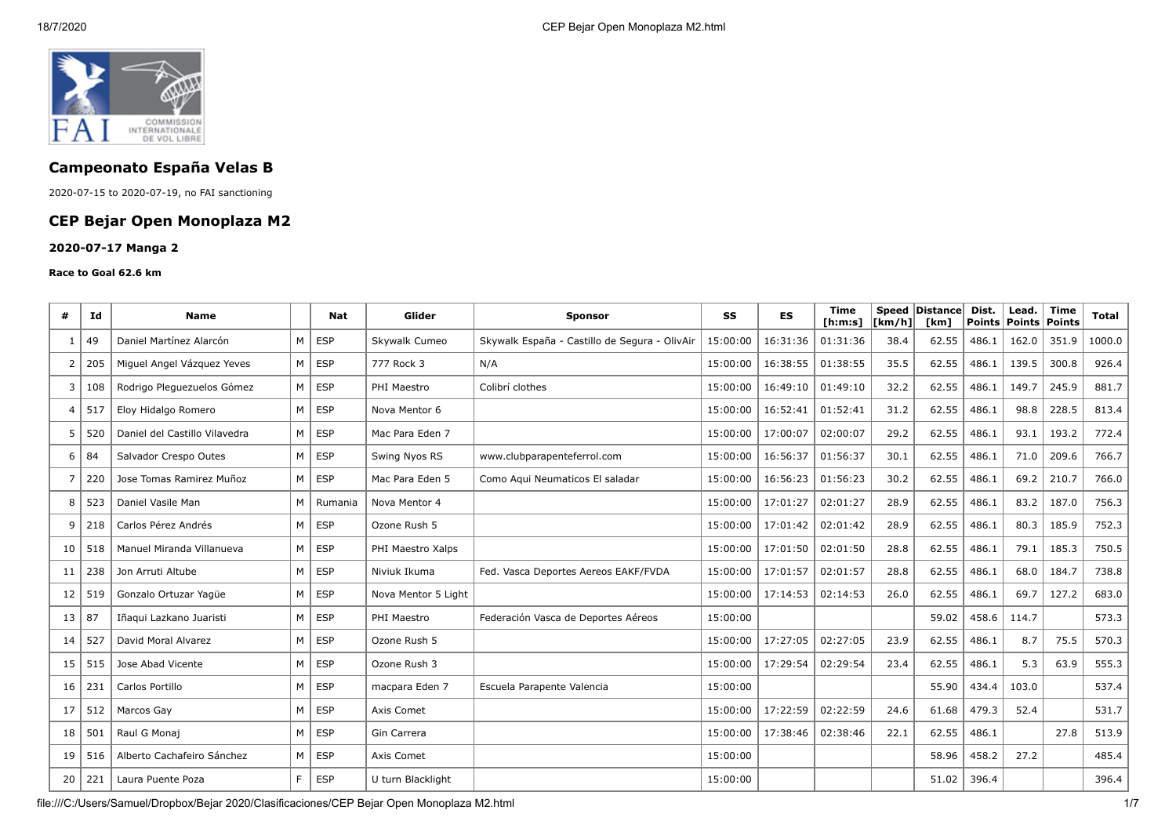

# **Campeonato España Velas B**

2020-07-15 to 2020-07-19, no FAI sanctioning

# **CEP Bejar Open Monoplaza M2**

### **2020-07-17 Manga 2**

#### **Race to Goal 62.6 km**

| #              | Ιd  | <b>Name</b>                   |                | Nat        | Glider              | <b>Sponsor</b>                                | SS       | <b>ES</b> | <b>Time</b><br>[ h: m: s] | $\lfloor \lfloor km/h \rfloor$ | Speed Distance<br>[km] | Dist.<br><b>Points</b> | Lead.<br><b>Points</b> | <b>Time</b><br>Points | Total  |
|----------------|-----|-------------------------------|----------------|------------|---------------------|-----------------------------------------------|----------|-----------|---------------------------|--------------------------------|------------------------|------------------------|------------------------|-----------------------|--------|
|                | 49  | Daniel Martínez Alarcón       | M              | <b>ESP</b> | Skywalk Cumeo       | Skywalk España - Castillo de Segura - OlivAir | 15:00:00 | 16:31:36  | 01:31:36                  | 38.4                           | 62.55                  | 486.1                  | 162.0                  | 351.9                 | 1000.0 |
| 2              | 205 | Miguel Angel Vázguez Yeves    | M              | <b>ESP</b> | 777 Rock 3          | N/A                                           | 15:00:00 | 16:38:55  | 01:38:55                  | 35.5                           | 62.55                  | 486.1                  | 139.5                  | 300.8                 | 926.4  |
| 3              | 108 | Rodrigo Pleguezuelos Gómez    | M              | <b>ESP</b> | PHI Maestro         | Colibrí clothes                               | 15:00:00 | 16:49:10  | 01:49:10                  | 32.2                           | 62.55                  | 486.1                  | 149.7                  | 245.9                 | 881.7  |
| $\overline{4}$ | 517 | Eloy Hidalgo Romero           | M              | <b>ESP</b> | Nova Mentor 6       |                                               | 15:00:00 | 16:52:41  | 01:52:41                  | 31.2                           | 62.55                  | 486.1                  | 98.8                   | 228.5                 | 813.4  |
| 5              | 520 | Daniel del Castillo Vilavedra | M              | <b>ESP</b> | Mac Para Eden 7     |                                               | 15:00:00 | 17:00:07  | 02:00:07                  | 29.2                           | 62.55                  | 486.1                  | 93.1                   | 193.2                 | 772.4  |
| 6              | 84  | Salvador Crespo Outes         | M              | <b>ESP</b> | Swing Nyos RS       | www.clubparapenteferrol.com                   | 15:00:00 | 16:56:37  | 01:56:37                  | 30.1                           | 62.55                  | 486.1                  | 71.0                   | 209.6                 | 766.7  |
| $\overline{7}$ | 220 | Jose Tomas Ramirez Muñoz      | M              | <b>ESP</b> | Mac Para Eden 5     | Como Aqui Neumaticos El saladar               | 15:00:00 | 16:56:23  | 01:56:23                  | 30.2                           | 62.55                  | 486.1                  | 69.2                   | 210.7                 | 766.0  |
| 8              | 523 | Daniel Vasile Man             | M              | Rumania    | Nova Mentor 4       |                                               | 15:00:00 | 17:01:27  | 02:01:27                  | 28.9                           | 62.55                  | 486.1                  | 83.2                   | 187.0                 | 756.3  |
| 9              | 218 | Carlos Pérez Andrés           | M              | <b>ESP</b> | Ozone Rush 5        |                                               | 15:00:00 | 17:01:42  | 02:01:42                  | 28.9                           | 62.55                  | 486.1                  | 80.3                   | 185.9                 | 752.3  |
| 10             | 518 | Manuel Miranda Villanueva     | M              | <b>ESP</b> | PHI Maestro Xalps   |                                               | 15:00:00 | 17:01:50  | 02:01:50                  | 28.8                           | 62.55                  | 486.1                  | 79.1                   | 185.3                 | 750.5  |
| 11             | 238 | Jon Arruti Altube             | M              | <b>ESP</b> | Niviuk Ikuma        | Fed. Vasca Deportes Aereos EAKF/FVDA          | 15:00:00 | 17:01:57  | 02:01:57                  | 28.8                           | 62.55                  | 486.1                  | 68.0                   | 184.7                 | 738.8  |
| 12             | 519 | Gonzalo Ortuzar Yaqüe         | M              | <b>ESP</b> | Nova Mentor 5 Light |                                               | 15:00:00 | 17:14:53  | 02:14:53                  | 26.0                           | 62.55                  | 486.1                  | 69.7                   | 127.2                 | 683.0  |
| 13             | 87  | Iñaqui Lazkano Juaristi       | M              | <b>ESP</b> | PHI Maestro         | Federación Vasca de Deportes Aéreos           | 15:00:00 |           |                           |                                | 59.02                  | 458.6                  | 114.7                  |                       | 573.3  |
| 14             | 527 | David Moral Alvarez           | M              | <b>ESP</b> | Ozone Rush 5        |                                               | 15:00:00 | 17:27:05  | 02:27:05                  | 23.9                           | 62.55                  | 486.1                  | 8.7                    | 75.5                  | 570.3  |
| 15             | 515 | Jose Abad Vicente             | M <sub>1</sub> | <b>ESP</b> | Ozone Rush 3        |                                               | 15:00:00 | 17:29:54  | 02:29:54                  | 23.4                           | 62.55                  | 486.1                  | 5.3                    | 63.9                  | 555.3  |
| 16             | 231 | Carlos Portillo               | M              | <b>ESP</b> | macpara Eden 7      | Escuela Parapente Valencia                    | 15:00:00 |           |                           |                                | 55.90                  | 434.4                  | 103.0                  |                       | 537.4  |
| 17             | 512 | Marcos Gay                    | M              | <b>ESP</b> | Axis Comet          |                                               | 15:00:00 | 17:22:59  | 02:22:59                  | 24.6                           | 61.68                  | 479.3                  | 52.4                   |                       | 531.7  |
| 18             | 501 | Raul G Monaj                  | M              | <b>ESP</b> | Gin Carrera         |                                               | 15:00:00 | 17:38:46  | 02:38:46                  | 22.1                           | 62.55                  | 486.1                  |                        | 27.8                  | 513.9  |
| 19             | 516 | Alberto Cachafeiro Sánchez    | M              | <b>ESP</b> | Axis Comet          |                                               | 15:00:00 |           |                           |                                | 58.96                  | 458.2                  | 27.2                   |                       | 485.4  |
| 20             | 221 | Laura Puente Poza             | F.             | <b>ESP</b> | U turn Blacklight   |                                               | 15:00:00 |           |                           |                                | 51.02                  | 396.4                  |                        |                       | 396.4  |

file:///C:/Users/Samuel/Dropbox/Bejar 2020/Clasificaciones/CEP Bejar Open Monoplaza M2.html 1/7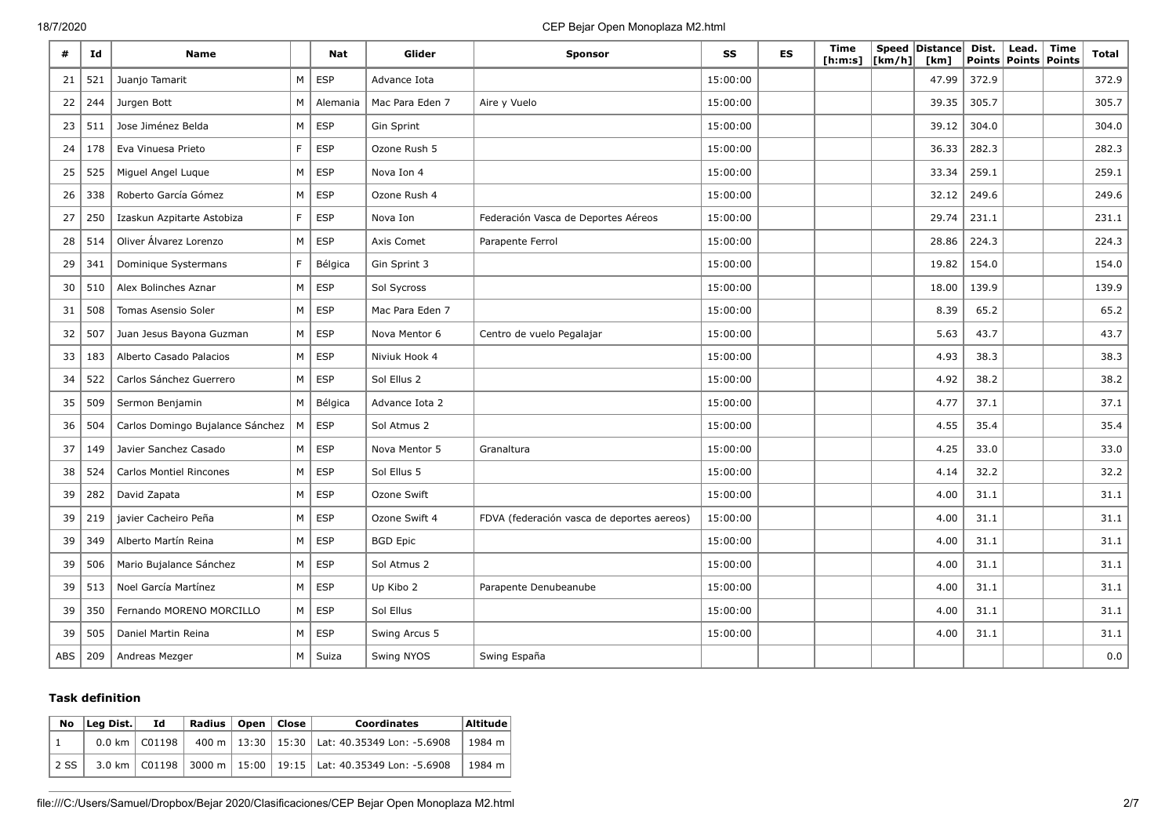### 18/7/2020 CEP Bejar Open Monoplaza M2.html

| #   | Id  | <b>Name</b>                      |   | <b>Nat</b> | Glider          | <b>Sponsor</b>                             | SS       | <b>ES</b> | Time<br>[h:m:s] | [km/h] | Speed Distance<br>[km] | Dist. | Lead. $ $<br>Points   Points   Points | Time | Total |
|-----|-----|----------------------------------|---|------------|-----------------|--------------------------------------------|----------|-----------|-----------------|--------|------------------------|-------|---------------------------------------|------|-------|
| 21  | 521 | Juanjo Tamarit                   | M | ESP        | Advance Iota    |                                            | 15:00:00 |           |                 |        | 47.99                  | 372.9 |                                       |      | 372.9 |
| 22  | 244 | Jurgen Bott                      | M | Alemania   | Mac Para Eden 7 | Aire y Vuelo                               | 15:00:00 |           |                 |        | 39.35                  | 305.7 |                                       |      | 305.7 |
| 23  | 511 | Jose Jiménez Belda               | M | <b>ESP</b> | Gin Sprint      |                                            | 15:00:00 |           |                 |        | 39.12                  | 304.0 |                                       |      | 304.0 |
| 24  | 178 | Eva Vinuesa Prieto               | F | <b>ESP</b> | Ozone Rush 5    |                                            | 15:00:00 |           |                 |        | 36.33                  | 282.3 |                                       |      | 282.3 |
| 25  | 525 | Miguel Angel Luque               | M | <b>ESP</b> | Nova Ion 4      |                                            | 15:00:00 |           |                 |        | 33.34                  | 259.1 |                                       |      | 259.1 |
| 26  | 338 | Roberto García Gómez             | M | <b>ESP</b> | Ozone Rush 4    |                                            | 15:00:00 |           |                 |        | 32.12                  | 249.6 |                                       |      | 249.6 |
| 27  | 250 | Izaskun Azpitarte Astobiza       | F | <b>ESP</b> | Nova Ion        | Federación Vasca de Deportes Aéreos        | 15:00:00 |           |                 |        | 29.74                  | 231.1 |                                       |      | 231.1 |
| 28  | 514 | Oliver Álvarez Lorenzo           | M | <b>ESP</b> | Axis Comet      | Parapente Ferrol                           | 15:00:00 |           |                 |        | 28.86                  | 224.3 |                                       |      | 224.3 |
| 29  | 341 | Dominique Systermans             | F | Bélgica    | Gin Sprint 3    |                                            | 15:00:00 |           |                 |        | 19.82                  | 154.0 |                                       |      | 154.0 |
| 30  | 510 | Alex Bolinches Aznar             | M | <b>ESP</b> | Sol Sycross     |                                            | 15:00:00 |           |                 |        | 18.00                  | 139.9 |                                       |      | 139.9 |
| 31  | 508 | <b>Tomas Asensio Soler</b>       | M | <b>ESP</b> | Mac Para Eden 7 |                                            | 15:00:00 |           |                 |        | 8.39                   | 65.2  |                                       |      | 65.2  |
| 32  | 507 | Juan Jesus Bayona Guzman         | M | <b>ESP</b> | Nova Mentor 6   | Centro de vuelo Pegalajar                  | 15:00:00 |           |                 |        | 5.63                   | 43.7  |                                       |      | 43.7  |
| 33  | 183 | Alberto Casado Palacios          | M | <b>ESP</b> | Niviuk Hook 4   |                                            | 15:00:00 |           |                 |        | 4.93                   | 38.3  |                                       |      | 38.3  |
| 34  | 522 | Carlos Sánchez Guerrero          | M | <b>ESP</b> | Sol Ellus 2     |                                            | 15:00:00 |           |                 |        | 4.92                   | 38.2  |                                       |      | 38.2  |
| 35  | 509 | Sermon Benjamin                  | M | Bélgica    | Advance Iota 2  |                                            | 15:00:00 |           |                 |        | 4.77                   | 37.1  |                                       |      | 37.1  |
| 36  | 504 | Carlos Domingo Bujalance Sánchez | M | <b>ESP</b> | Sol Atmus 2     |                                            | 15:00:00 |           |                 |        | 4.55                   | 35.4  |                                       |      | 35.4  |
| 37  | 149 | Javier Sanchez Casado            | M | <b>ESP</b> | Nova Mentor 5   | Granaltura                                 | 15:00:00 |           |                 |        | 4.25                   | 33.0  |                                       |      | 33.0  |
| 38  | 524 | <b>Carlos Montiel Rincones</b>   | M | <b>ESP</b> | Sol Ellus 5     |                                            | 15:00:00 |           |                 |        | 4.14                   | 32.2  |                                       |      | 32.2  |
| 39  | 282 | David Zapata                     | M | <b>ESP</b> | Ozone Swift     |                                            | 15:00:00 |           |                 |        | 4.00                   | 31.1  |                                       |      | 31.1  |
| 39  | 219 | javier Cacheiro Peña             | M | <b>ESP</b> | Ozone Swift 4   | FDVA (federación vasca de deportes aereos) | 15:00:00 |           |                 |        | 4.00                   | 31.1  |                                       |      | 31.1  |
| 39  | 349 | Alberto Martín Reina             | M | <b>ESP</b> | <b>BGD Epic</b> |                                            | 15:00:00 |           |                 |        | 4.00                   | 31.1  |                                       |      | 31.1  |
| 39  | 506 | Mario Bujalance Sánchez          | M | <b>ESP</b> | Sol Atmus 2     |                                            | 15:00:00 |           |                 |        | 4.00                   | 31.1  |                                       |      | 31.1  |
| 39  | 513 | Noel García Martínez             | M | <b>ESP</b> | Up Kibo 2       | Parapente Denubeanube                      | 15:00:00 |           |                 |        | 4.00                   | 31.1  |                                       |      | 31.1  |
| 39  | 350 | Fernando MORENO MORCILLO         | M | <b>ESP</b> | Sol Ellus       |                                            | 15:00:00 |           |                 |        | 4.00                   | 31.1  |                                       |      | 31.1  |
| 39  | 505 | Daniel Martin Reina              | M | <b>ESP</b> | Swing Arcus 5   |                                            | 15:00:00 |           |                 |        | 4.00                   | 31.1  |                                       |      | 31.1  |
| ABS | 209 | Andreas Mezger                   | M | Suiza      | Swing NYOS      | Swing España                               |          |           |                 |        |                        |       |                                       |      | 0.0   |

## **Task definition**

| <b>No</b> | Lea Dist. | - Id            | Radius   Open   Close |  | <b>Coordinates</b>                                                    | <b>Altitude</b> |
|-----------|-----------|-----------------|-----------------------|--|-----------------------------------------------------------------------|-----------------|
|           |           | 0.0 km   C01198 |                       |  | 400 m   13:30   15:30   Lat: 40.35349 Lon: -5.6908                    | 1984 m          |
| 2 SS      |           |                 |                       |  | 3.0 km   C01198   3000 m   15:00   19:15   Lat: 40.35349 Lon: -5.6908 | 1984 m          |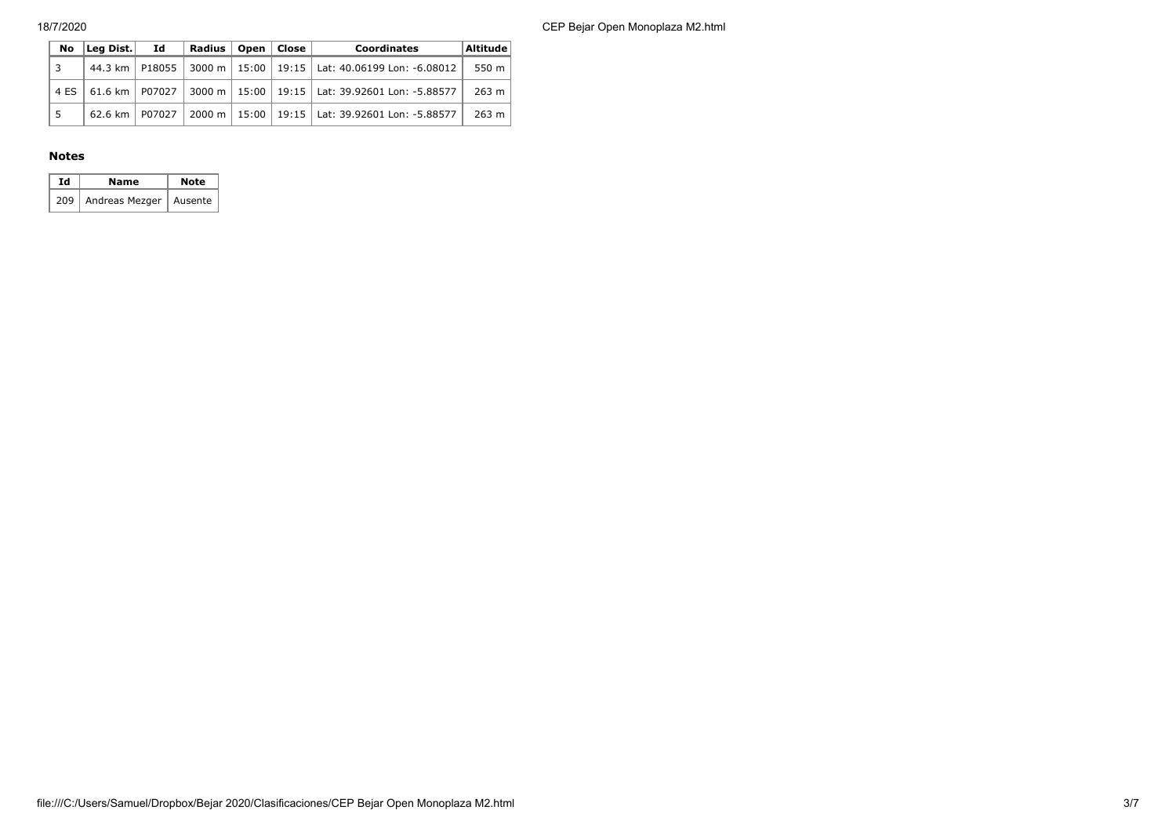18/7/2020 CEP Bejar Open Monoplaza M2.html

| No   | Leg Dist. Id     |        | Radius   Open   Close |  | <b>Coordinates</b>                                                      | Altitude |
|------|------------------|--------|-----------------------|--|-------------------------------------------------------------------------|----------|
| 3    |                  |        |                       |  | 44.3 km   P18055   3000 m   15:00   19:15   Lat: 40.06199 Lon: -6.08012 | 550 m    |
| 4 ES | 61.6 km   P07027 |        |                       |  | 3000 m   15:00   19:15   Lat: 39.92601 Lon: -5.88577                    | $263$ m  |
|      | 62.6 km $\vert$  | P07027 |                       |  | 2000 m   15:00   19:15   Lat: 39.92601 Lon: -5.88577                    | $263$ m  |

#### **Notes**

| Id | Name                 | <b>Note</b> |
|----|----------------------|-------------|
|    | 209   Andreas Mezger | Ausente     |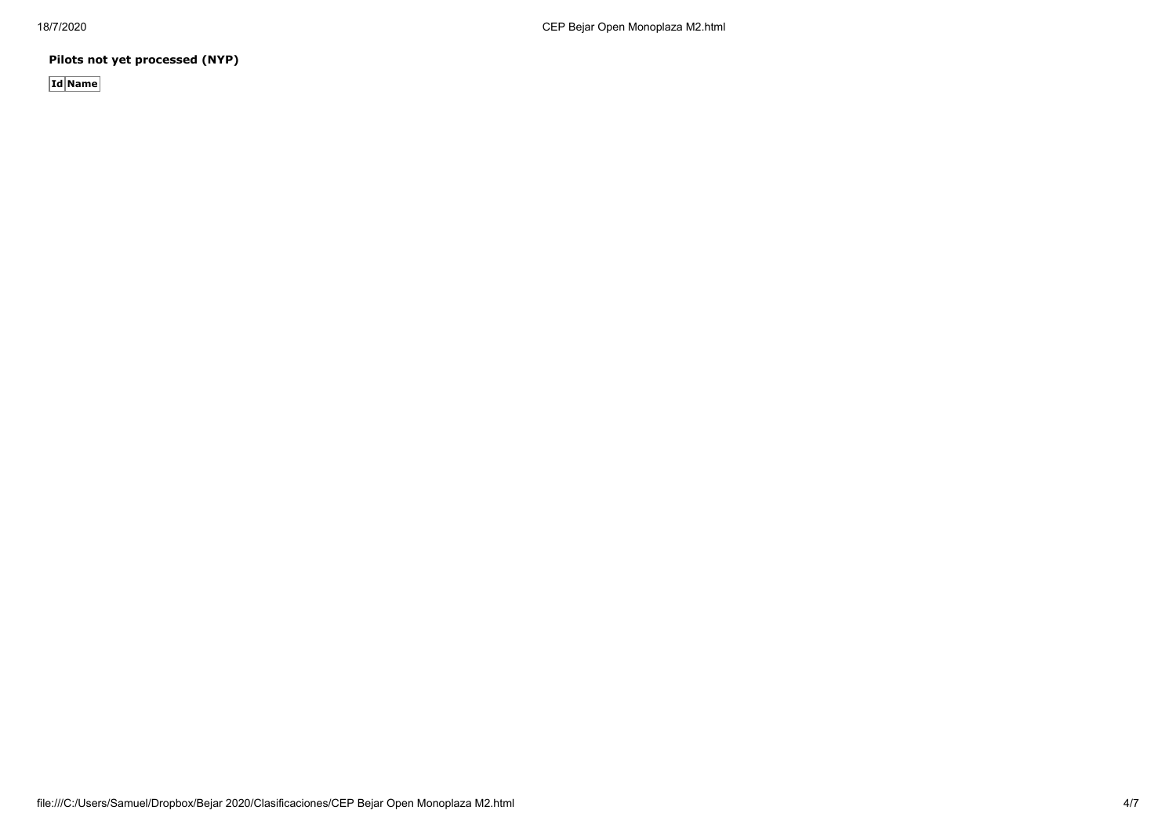**Pilots not yet processed (NYP)**

**Id Name**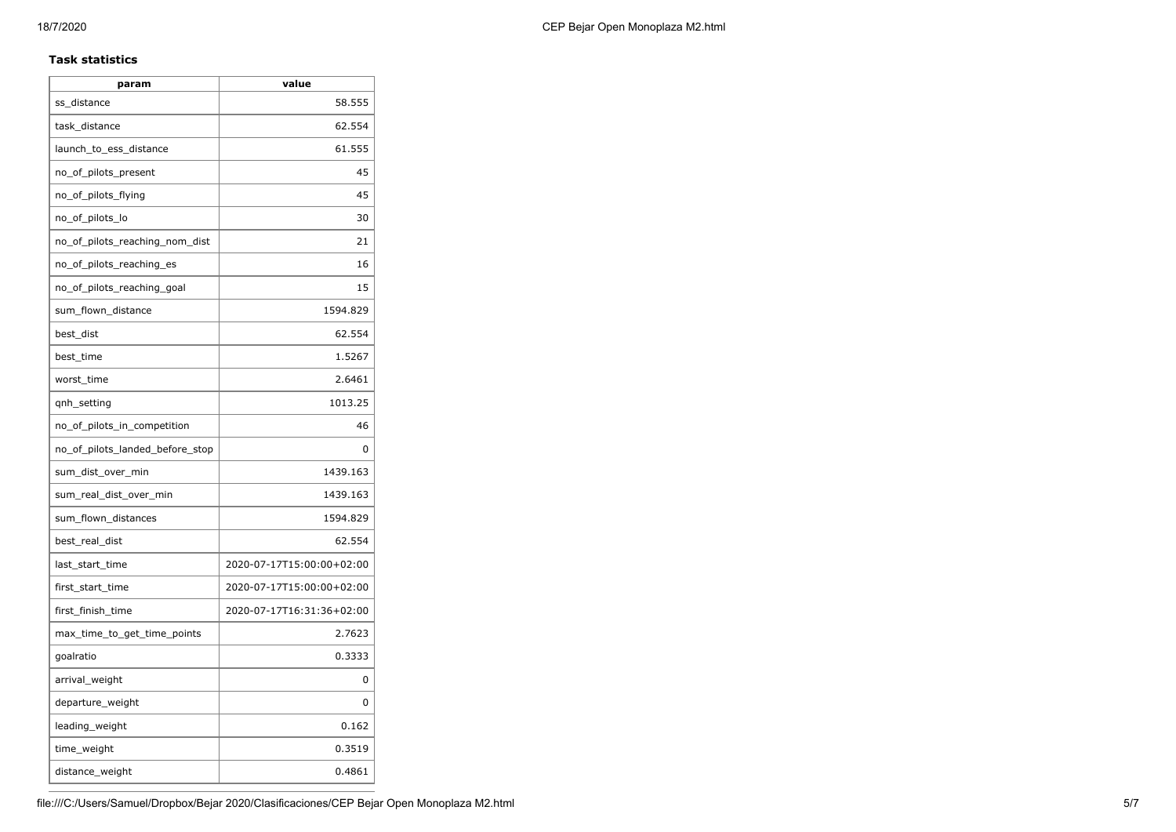### **Task statistics**

| param                           | value                     |
|---------------------------------|---------------------------|
| ss_distance                     | 58.555                    |
| task distance                   | 62.554                    |
| launch_to_ess_distance          | 61.555                    |
| no_of_pilots_present            | 45                        |
| no_of_pilots_flying             | 45                        |
| no_of_pilots_lo                 | 30                        |
| no_of_pilots_reaching_nom_dist  | 21                        |
| no_of_pilots_reaching_es        | 16                        |
| no_of_pilots_reaching_goal      | 15                        |
| sum_flown_distance              | 1594.829                  |
| best_dist                       | 62.554                    |
| best_time                       | 1.5267                    |
| worst_time                      | 2.6461                    |
| qnh_setting                     | 1013.25                   |
| no_of_pilots_in_competition     | 46                        |
| no_of_pilots_landed_before_stop | 0                         |
| sum_dist_over_min               | 1439.163                  |
| sum real dist over min          | 1439.163                  |
| sum_flown_distances             | 1594.829                  |
| best_real_dist                  | 62.554                    |
| last start time                 | 2020-07-17T15:00:00+02:00 |
| first_start_time                | 2020-07-17T15:00:00+02:00 |
| first_finish_time               | 2020-07-17T16:31:36+02:00 |
| max_time_to_get_time_points     | 2.7623                    |
| goalratio                       | 0.3333                    |
| arrival_weight                  | 0                         |
| departure_weight                | 0                         |
| leading_weight                  | 0.162                     |
| time_weight                     | 0.3519                    |
| distance_weight                 | 0.4861                    |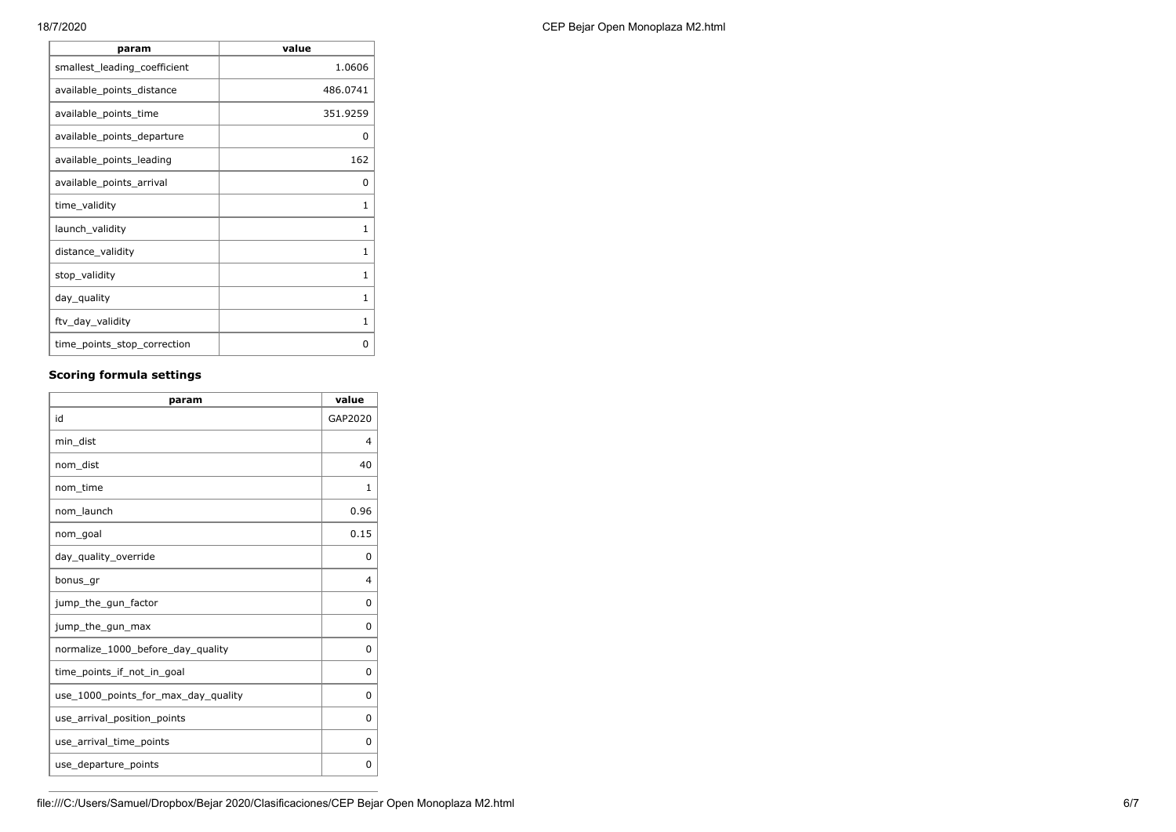| value        |
|--------------|
| 1.0606       |
| 486.0741     |
| 351.9259     |
| O            |
| 162          |
| <sup>0</sup> |
| 1            |
| 1            |
| 1            |
| 1            |
| 1            |
| 1            |
| ŋ            |
|              |

# **Scoring formula settings**

| param                               | value        |
|-------------------------------------|--------------|
| id                                  | GAP2020      |
| min_dist                            | 4            |
| nom dist                            | 40           |
| nom time                            | $\mathbf{1}$ |
| nom launch                          | 0.96         |
| nom_goal                            | 0.15         |
| day_quality_override                | 0            |
| bonus_gr                            | 4            |
| jump_the_gun_factor                 | 0            |
| jump_the_gun_max                    | 0            |
| normalize_1000_before_day_quality   | 0            |
| time points if not in goal          | 0            |
| use_1000_points_for_max_day_quality | 0            |
| use_arrival_position_points         | 0            |
| use_arrival_time_points             | 0            |
| use_departure_points                | 0            |